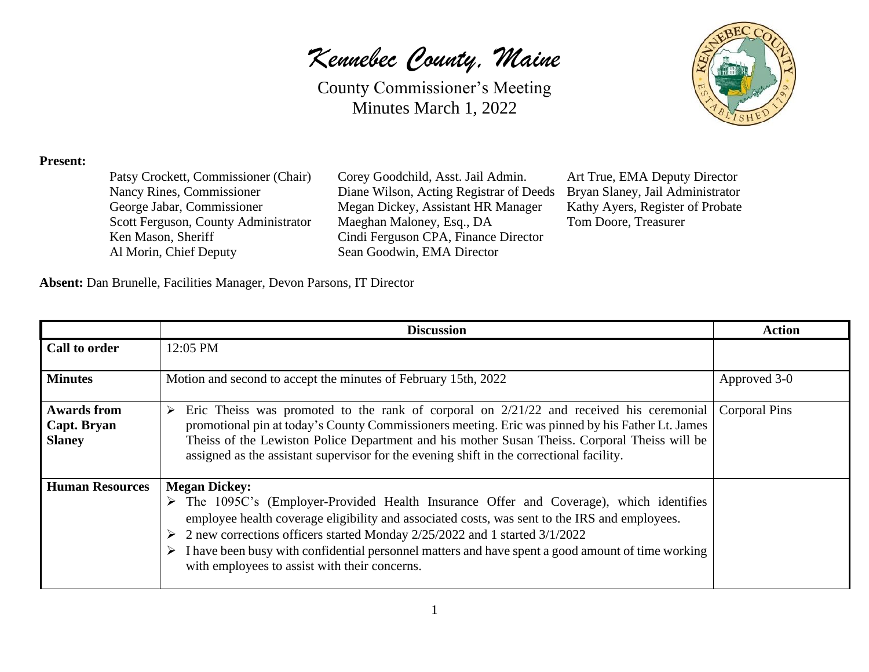*Kennebec County, Maine*



## **Present:**

Ken Mason, Sheriff Cindi Ferguson CPA, Finance Director Al Morin, Chief Deputy Sean Goodwin, EMA Director

Patsy Crockett, Commissioner (Chair) Corey Goodchild, Asst. Jail Admin. Art True, EMA Deputy Director Nancy Rines, Commissioner Diane Wilson, Acting Registrar of Deeds Bryan Slaney, Jail Administrator<br>George Jabar, Commissioner Megan Dickey, Assistant HR Manager Kathy Ayers, Register of Probate Megan Dickey, Assistant HR Manager Kathy Ayers, Register of Probate Scott Ferguson, County Administrator Maeghan Maloney, Esq., DA Tom Doore, Treasurer

**Absent:** Dan Brunelle, Facilities Manager, Devon Parsons, IT Director

|                                                    | <b>Discussion</b>                                                                                                                                                                                                                                                                                                                                                                                                                                                             | <b>Action</b>        |
|----------------------------------------------------|-------------------------------------------------------------------------------------------------------------------------------------------------------------------------------------------------------------------------------------------------------------------------------------------------------------------------------------------------------------------------------------------------------------------------------------------------------------------------------|----------------------|
| <b>Call to order</b>                               | 12:05 PM                                                                                                                                                                                                                                                                                                                                                                                                                                                                      |                      |
| <b>Minutes</b>                                     | Motion and second to accept the minutes of February 15th, 2022                                                                                                                                                                                                                                                                                                                                                                                                                | Approved 3-0         |
| <b>Awards from</b><br>Capt. Bryan<br><b>Slaney</b> | Eric Theiss was promoted to the rank of corporal on $2/21/22$ and received his ceremonial<br>➤<br>promotional pin at today's County Commissioners meeting. Eric was pinned by his Father Lt. James<br>Theiss of the Lewiston Police Department and his mother Susan Theiss. Corporal Theiss will be<br>assigned as the assistant supervisor for the evening shift in the correctional facility.                                                                               | <b>Corporal Pins</b> |
| <b>Human Resources</b>                             | <b>Megan Dickey:</b><br>$\triangleright$ The 1095C's (Employer-Provided Health Insurance Offer and Coverage), which identifies<br>employee health coverage eligibility and associated costs, was sent to the IRS and employees.<br>2 new corrections officers started Monday 2/25/2022 and 1 started 3/1/2022<br>➤<br>I have been busy with confidential personnel matters and have spent a good amount of time working<br>➤<br>with employees to assist with their concerns. |                      |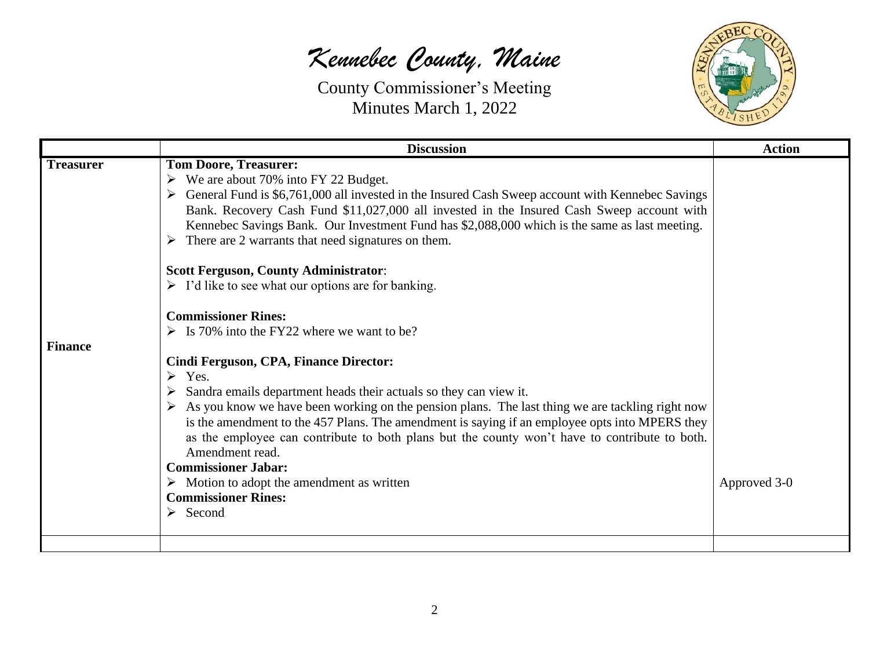## *Kennebec County, Maine*



|                  | <b>Discussion</b>                                                                                                                                                                                                                                                                                                                                                                                                                                                                                                                                                                                                      | <b>Action</b> |
|------------------|------------------------------------------------------------------------------------------------------------------------------------------------------------------------------------------------------------------------------------------------------------------------------------------------------------------------------------------------------------------------------------------------------------------------------------------------------------------------------------------------------------------------------------------------------------------------------------------------------------------------|---------------|
| <b>Treasurer</b> | <b>Tom Doore, Treasurer:</b><br>$\triangleright$ We are about 70% into FY 22 Budget.<br>> General Fund is \$6,761,000 all invested in the Insured Cash Sweep account with Kennebec Savings<br>Bank. Recovery Cash Fund \$11,027,000 all invested in the Insured Cash Sweep account with<br>Kennebec Savings Bank. Our Investment Fund has \$2,088,000 which is the same as last meeting.<br>There are 2 warrants that need signatures on them.                                                                                                                                                                         |               |
|                  | <b>Scott Ferguson, County Administrator:</b><br>$\triangleright$ I'd like to see what our options are for banking.                                                                                                                                                                                                                                                                                                                                                                                                                                                                                                     |               |
|                  | <b>Commissioner Rines:</b><br>$\triangleright$ Is 70% into the FY22 where we want to be?                                                                                                                                                                                                                                                                                                                                                                                                                                                                                                                               |               |
| <b>Finance</b>   | Cindi Ferguson, CPA, Finance Director:<br>$\triangleright$ Yes.<br>Sandra emails department heads their actuals so they can view it.<br>➤<br>As you know we have been working on the pension plans. The last thing we are tackling right now<br>is the amendment to the 457 Plans. The amendment is saying if an employee opts into MPERS they<br>as the employee can contribute to both plans but the county won't have to contribute to both.<br>Amendment read.<br><b>Commissioner Jabar:</b><br>$\triangleright$ Motion to adopt the amendment as written<br><b>Commissioner Rines:</b><br>$\triangleright$ Second | Approved 3-0  |
|                  |                                                                                                                                                                                                                                                                                                                                                                                                                                                                                                                                                                                                                        |               |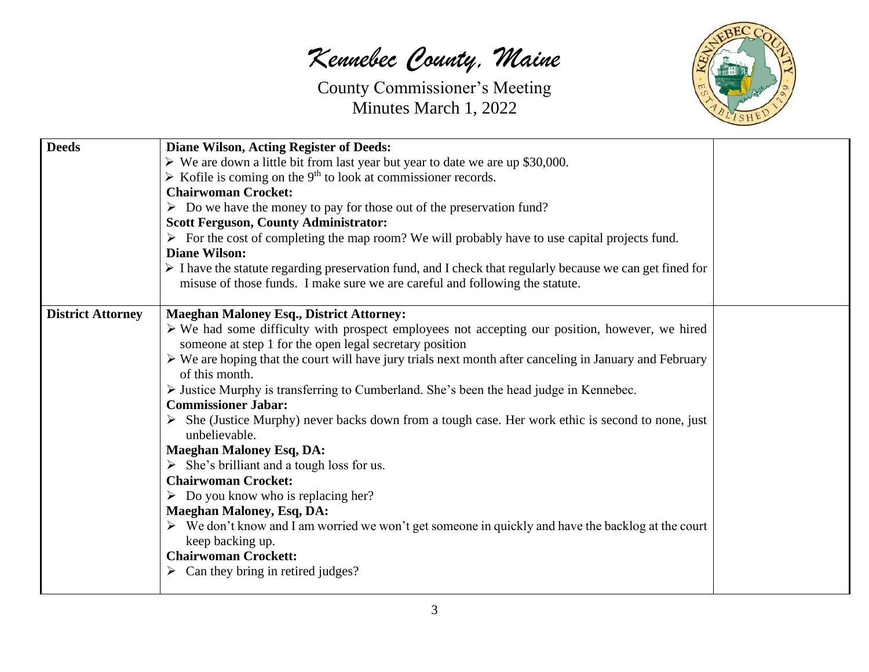*Kennebec County, Maine*



| <b>Deeds</b>             | <b>Diane Wilson, Acting Register of Deeds:</b>                                                                                    |  |
|--------------------------|-----------------------------------------------------------------------------------------------------------------------------------|--|
|                          | $\triangleright$ We are down a little bit from last year but year to date we are up \$30,000.                                     |  |
|                          | $\triangleright$ Kofile is coming on the 9 <sup>th</sup> to look at commissioner records.                                         |  |
|                          | <b>Chairwoman Crocket:</b>                                                                                                        |  |
|                          | $\triangleright$ Do we have the money to pay for those out of the preservation fund?                                              |  |
|                          | <b>Scott Ferguson, County Administrator:</b>                                                                                      |  |
|                          | $\triangleright$ For the cost of completing the map room? We will probably have to use capital projects fund.                     |  |
|                          | <b>Diane Wilson:</b>                                                                                                              |  |
|                          | $\triangleright$ I have the statute regarding preservation fund, and I check that regularly because we can get fined for          |  |
|                          | misuse of those funds. I make sure we are careful and following the statute.                                                      |  |
| <b>District Attorney</b> | <b>Maeghan Maloney Esq., District Attorney:</b>                                                                                   |  |
|                          | $\triangleright$ We had some difficulty with prospect employees not accepting our position, however, we hired                     |  |
|                          | someone at step 1 for the open legal secretary position                                                                           |  |
|                          | $\triangleright$ We are hoping that the court will have jury trials next month after canceling in January and February            |  |
|                          | of this month.                                                                                                                    |  |
|                          | $\triangleright$ Justice Murphy is transferring to Cumberland. She's been the head judge in Kennebec.                             |  |
|                          | <b>Commissioner Jabar:</b>                                                                                                        |  |
|                          | $\triangleright$ She (Justice Murphy) never backs down from a tough case. Her work ethic is second to none, just<br>unbelievable. |  |
|                          | <b>Maeghan Maloney Esq, DA:</b>                                                                                                   |  |
|                          | $\triangleright$ She's brilliant and a tough loss for us.                                                                         |  |
|                          | <b>Chairwoman Crocket:</b>                                                                                                        |  |
|                          | $\triangleright$ Do you know who is replacing her?                                                                                |  |
|                          | <b>Maeghan Maloney, Esq, DA:</b>                                                                                                  |  |
|                          | $\triangleright$ We don't know and I am worried we won't get someone in quickly and have the backlog at the court                 |  |
|                          | keep backing up.                                                                                                                  |  |
|                          | <b>Chairwoman Crockett:</b>                                                                                                       |  |
|                          | $\triangleright$ Can they bring in retired judges?                                                                                |  |
|                          |                                                                                                                                   |  |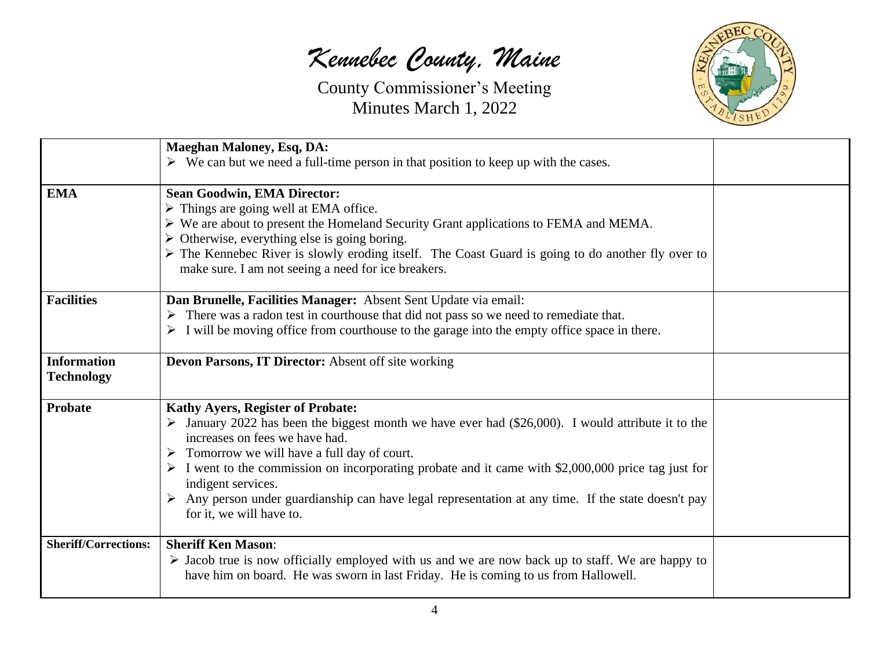*Kennebec County, Maine*



|                                         | <b>Maeghan Maloney, Esq, DA:</b><br>$\triangleright$ We can but we need a full-time person in that position to keep up with the cases.                                                                                                                                                                                                                                                                                                                                                                                                                       |  |
|-----------------------------------------|--------------------------------------------------------------------------------------------------------------------------------------------------------------------------------------------------------------------------------------------------------------------------------------------------------------------------------------------------------------------------------------------------------------------------------------------------------------------------------------------------------------------------------------------------------------|--|
| <b>EMA</b>                              | <b>Sean Goodwin, EMA Director:</b><br>$\triangleright$ Things are going well at EMA office.<br>> We are about to present the Homeland Security Grant applications to FEMA and MEMA.<br>$\triangleright$ Otherwise, everything else is going boring.<br>> The Kennebec River is slowly eroding itself. The Coast Guard is going to do another fly over to<br>make sure. I am not seeing a need for ice breakers.                                                                                                                                              |  |
| <b>Facilities</b>                       | Dan Brunelle, Facilities Manager: Absent Sent Update via email:<br>$\triangleright$ There was a radon test in courthouse that did not pass so we need to remediate that.<br>$\triangleright$ I will be moving office from courthouse to the garage into the empty office space in there.                                                                                                                                                                                                                                                                     |  |
| <b>Information</b><br><b>Technology</b> | Devon Parsons, IT Director: Absent off site working                                                                                                                                                                                                                                                                                                                                                                                                                                                                                                          |  |
| <b>Probate</b>                          | <b>Kathy Ayers, Register of Probate:</b><br>$\triangleright$ January 2022 has been the biggest month we have ever had (\$26,000). I would attribute it to the<br>increases on fees we have had.<br>$\triangleright$ Tomorrow we will have a full day of court.<br>$\triangleright$ I went to the commission on incorporating probate and it came with \$2,000,000 price tag just for<br>indigent services.<br>$\triangleright$ Any person under guardianship can have legal representation at any time. If the state doesn't pay<br>for it, we will have to. |  |
| <b>Sheriff/Corrections:</b>             | <b>Sheriff Ken Mason:</b><br>$\triangleright$ Jacob true is now officially employed with us and we are now back up to staff. We are happy to<br>have him on board. He was sworn in last Friday. He is coming to us from Hallowell.                                                                                                                                                                                                                                                                                                                           |  |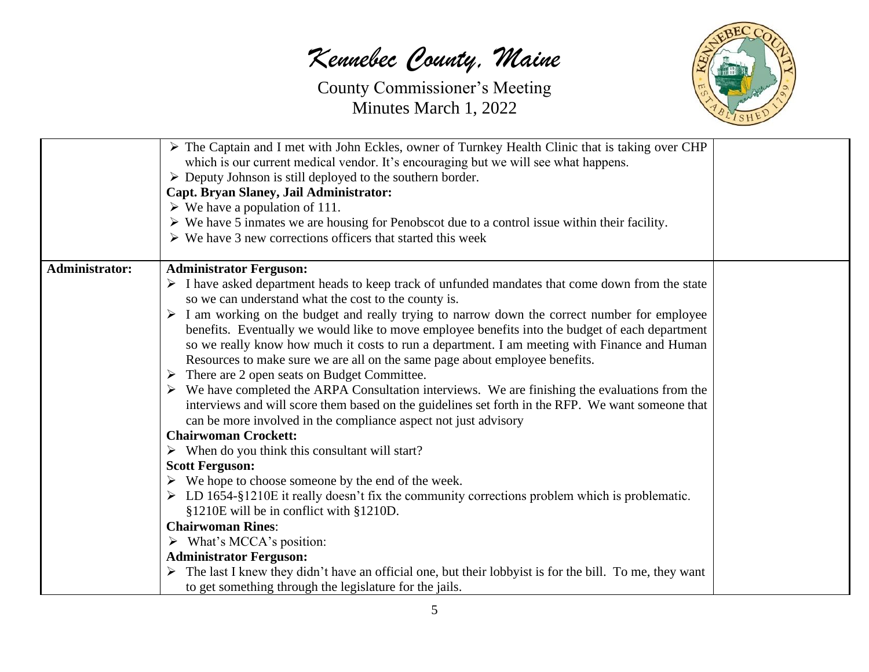*Kennebec County, Maine*

County Commissioner's Meeting Minutes March 1, 2022



|                       | The Captain and I met with John Eckles, owner of Turnkey Health Clinic that is taking over CHP<br>which is our current medical vendor. It's encouraging but we will see what happens.<br>$\triangleright$ Deputy Johnson is still deployed to the southern border.<br>Capt. Bryan Slaney, Jail Administrator:<br>$\triangleright$ We have a population of 111.<br>$\triangleright$ We have 5 inmates we are housing for Penobscot due to a control issue within their facility.<br>$\triangleright$ We have 3 new corrections officers that started this week |
|-----------------------|---------------------------------------------------------------------------------------------------------------------------------------------------------------------------------------------------------------------------------------------------------------------------------------------------------------------------------------------------------------------------------------------------------------------------------------------------------------------------------------------------------------------------------------------------------------|
| <b>Administrator:</b> | <b>Administrator Ferguson:</b>                                                                                                                                                                                                                                                                                                                                                                                                                                                                                                                                |
|                       | > I have asked department heads to keep track of unfunded mandates that come down from the state<br>so we can understand what the cost to the county is.                                                                                                                                                                                                                                                                                                                                                                                                      |
|                       | $\triangleright$ I am working on the budget and really trying to narrow down the correct number for employee                                                                                                                                                                                                                                                                                                                                                                                                                                                  |
|                       | benefits. Eventually we would like to move employee benefits into the budget of each department<br>so we really know how much it costs to run a department. I am meeting with Finance and Human                                                                                                                                                                                                                                                                                                                                                               |
|                       | Resources to make sure we are all on the same page about employee benefits.                                                                                                                                                                                                                                                                                                                                                                                                                                                                                   |
|                       | $\triangleright$ There are 2 open seats on Budget Committee.                                                                                                                                                                                                                                                                                                                                                                                                                                                                                                  |
|                       | $\triangleright$ We have completed the ARPA Consultation interviews. We are finishing the evaluations from the<br>interviews and will score them based on the guidelines set forth in the RFP. We want someone that<br>can be more involved in the compliance aspect not just advisory                                                                                                                                                                                                                                                                        |
|                       | <b>Chairwoman Crockett:</b>                                                                                                                                                                                                                                                                                                                                                                                                                                                                                                                                   |
|                       | $\triangleright$ When do you think this consultant will start?                                                                                                                                                                                                                                                                                                                                                                                                                                                                                                |
|                       | <b>Scott Ferguson:</b>                                                                                                                                                                                                                                                                                                                                                                                                                                                                                                                                        |
|                       | $\triangleright$ We hope to choose someone by the end of the week.                                                                                                                                                                                                                                                                                                                                                                                                                                                                                            |
|                       | $\triangleright$ LD 1654-§1210E it really doesn't fix the community corrections problem which is problematic.                                                                                                                                                                                                                                                                                                                                                                                                                                                 |
|                       | §1210E will be in conflict with §1210D.<br><b>Chairwoman Rines:</b>                                                                                                                                                                                                                                                                                                                                                                                                                                                                                           |
|                       | $\triangleright$ What's MCCA's position:                                                                                                                                                                                                                                                                                                                                                                                                                                                                                                                      |
|                       | <b>Administrator Ferguson:</b>                                                                                                                                                                                                                                                                                                                                                                                                                                                                                                                                |
|                       | $\triangleright$ The last I knew they didn't have an official one, but their lobby is for the bill. To me, they want<br>to get something through the legislature for the jails.                                                                                                                                                                                                                                                                                                                                                                               |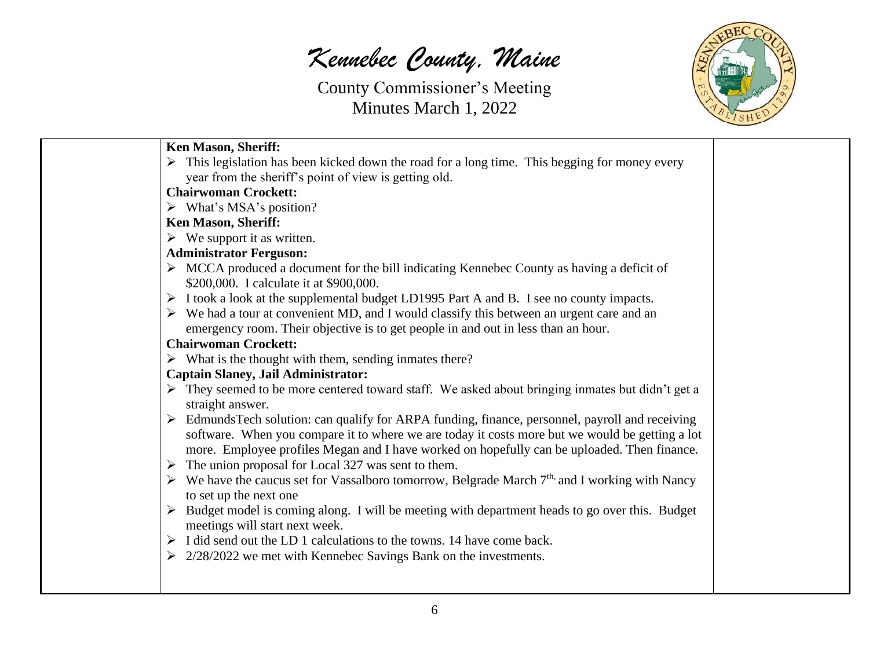*Kennebec County, Maine*



| <b>Ken Mason, Sheriff:</b>                                                                                                |  |
|---------------------------------------------------------------------------------------------------------------------------|--|
| $\triangleright$ This legislation has been kicked down the road for a long time. This begging for money every             |  |
| year from the sheriff's point of view is getting old.                                                                     |  |
| <b>Chairwoman Crockett:</b>                                                                                               |  |
| $\triangleright$ What's MSA's position?                                                                                   |  |
| <b>Ken Mason, Sheriff:</b>                                                                                                |  |
| $\triangleright$ We support it as written.                                                                                |  |
| <b>Administrator Ferguson:</b>                                                                                            |  |
| $\triangleright$ MCCA produced a document for the bill indicating Kennebec County as having a deficit of                  |  |
| \$200,000. I calculate it at \$900,000.                                                                                   |  |
| $\triangleright$ I took a look at the supplemental budget LD1995 Part A and B. I see no county impacts.                   |  |
| $\triangleright$ We had a tour at convenient MD, and I would classify this between an urgent care and an                  |  |
| emergency room. Their objective is to get people in and out in less than an hour.                                         |  |
| <b>Chairwoman Crockett:</b>                                                                                               |  |
| $\triangleright$ What is the thought with them, sending inmates there?                                                    |  |
| <b>Captain Slaney, Jail Administrator:</b>                                                                                |  |
| $\triangleright$ They seemed to be more centered toward staff. We asked about bringing inmates but didn't get a           |  |
| straight answer.                                                                                                          |  |
| EdmundsTech solution: can qualify for ARPA funding, finance, personnel, payroll and receiving                             |  |
| software. When you compare it to where we are today it costs more but we would be getting a lot                           |  |
| more. Employee profiles Megan and I have worked on hopefully can be uploaded. Then finance.                               |  |
| $\triangleright$ The union proposal for Local 327 was sent to them.                                                       |  |
| $\triangleright$ We have the caucus set for Vassalboro tomorrow, Belgrade March 7 <sup>th,</sup> and I working with Nancy |  |
| to set up the next one                                                                                                    |  |
| $\triangleright$ Budget model is coming along. I will be meeting with department heads to go over this. Budget            |  |
| meetings will start next week.                                                                                            |  |
| $\triangleright$ I did send out the LD 1 calculations to the towns. 14 have come back.                                    |  |
| $\geq$ 2/28/2022 we met with Kennebec Savings Bank on the investments.                                                    |  |
|                                                                                                                           |  |
|                                                                                                                           |  |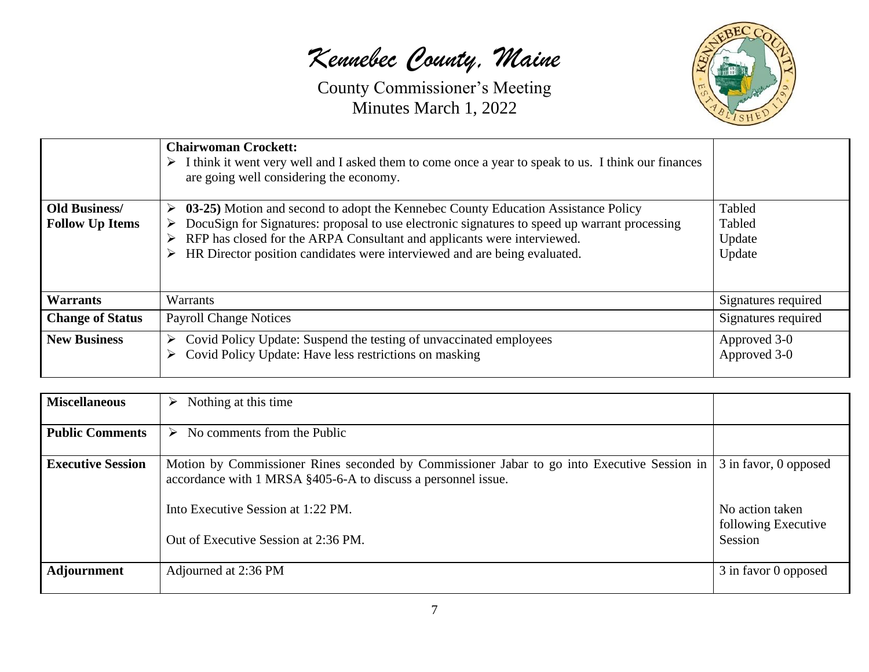*Kennebec County, Maine*

County Commissioner's Meeting Minutes March 1, 2022



|                                                | <b>Chairwoman Crockett:</b><br>$\triangleright$ I think it went very well and I asked them to come once a year to speak to us. I think our finances<br>are going well considering the economy.                                                                                                                                                  |                                      |
|------------------------------------------------|-------------------------------------------------------------------------------------------------------------------------------------------------------------------------------------------------------------------------------------------------------------------------------------------------------------------------------------------------|--------------------------------------|
| <b>Old Business/</b><br><b>Follow Up Items</b> | 03-25) Motion and second to adopt the Kennebec County Education Assistance Policy<br>➤<br>DocuSign for Signatures: proposal to use electronic signatures to speed up warrant processing<br>RFP has closed for the ARPA Consultant and applicants were interviewed.<br>HR Director position candidates were interviewed and are being evaluated. | Tabled<br>Tabled<br>Update<br>Update |
| <b>Warrants</b>                                | Warrants                                                                                                                                                                                                                                                                                                                                        | Signatures required                  |
| <b>Change of Status</b>                        | <b>Payroll Change Notices</b>                                                                                                                                                                                                                                                                                                                   | Signatures required                  |
| <b>New Business</b>                            | Covid Policy Update: Suspend the testing of unvaccinated employees<br>➤<br>Covid Policy Update: Have less restrictions on masking                                                                                                                                                                                                               | Approved 3-0<br>Approved 3-0         |

| <b>Miscellaneous</b>     | Nothing at this time<br>➤                                                                                                                                                                                                                  |                                                                            |
|--------------------------|--------------------------------------------------------------------------------------------------------------------------------------------------------------------------------------------------------------------------------------------|----------------------------------------------------------------------------|
| <b>Public Comments</b>   | No comments from the Public<br>➤                                                                                                                                                                                                           |                                                                            |
| <b>Executive Session</b> | Motion by Commissioner Rines seconded by Commissioner Jabar to go into Executive Session in<br>accordance with 1 MRSA §405-6-A to discuss a personnel issue.<br>Into Executive Session at 1:22 PM.<br>Out of Executive Session at 2:36 PM. | 3 in favor, 0 opposed<br>No action taken<br>following Executive<br>Session |
| <b>Adjournment</b>       | Adjourned at 2:36 PM                                                                                                                                                                                                                       | 3 in favor 0 opposed                                                       |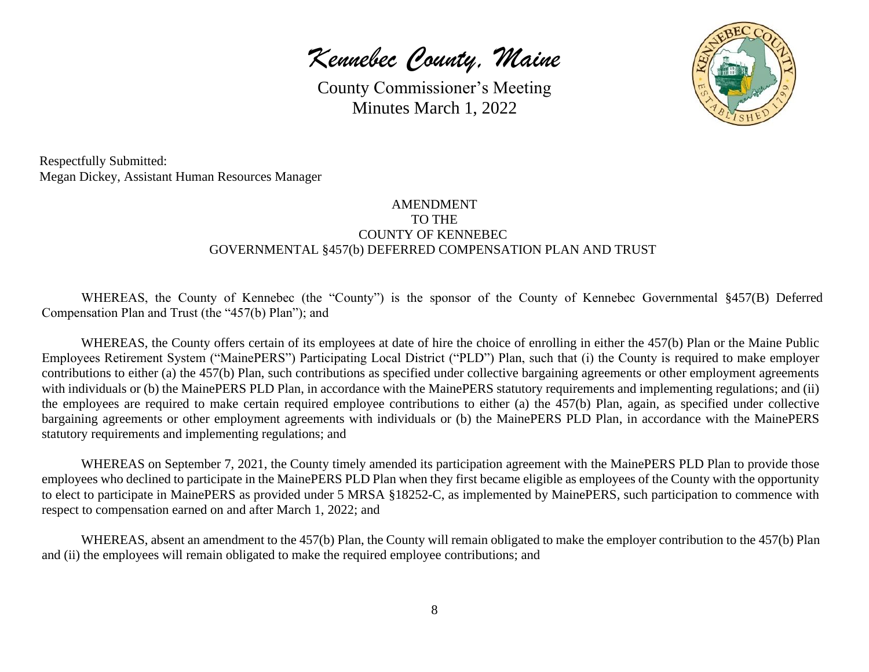*Kennebec County, Maine*



Respectfully Submitted: Megan Dickey, Assistant Human Resources Manager

## AMENDMENT TO THE COUNTY OF KENNEBEC GOVERNMENTAL §457(b) DEFERRED COMPENSATION PLAN AND TRUST

WHEREAS, the County of Kennebec (the "County") is the sponsor of the County of Kennebec Governmental §457(B) Deferred Compensation Plan and Trust (the "457(b) Plan"); and

WHEREAS, the County offers certain of its employees at date of hire the choice of enrolling in either the 457(b) Plan or the Maine Public Employees Retirement System ("MainePERS") Participating Local District ("PLD") Plan, such that (i) the County is required to make employer contributions to either (a) the 457(b) Plan, such contributions as specified under collective bargaining agreements or other employment agreements with individuals or (b) the MainePERS PLD Plan, in accordance with the MainePERS statutory requirements and implementing regulations; and (ii) the employees are required to make certain required employee contributions to either (a) the 457(b) Plan, again, as specified under collective bargaining agreements or other employment agreements with individuals or (b) the MainePERS PLD Plan, in accordance with the MainePERS statutory requirements and implementing regulations; and

WHEREAS on September 7, 2021, the County timely amended its participation agreement with the MainePERS PLD Plan to provide those employees who declined to participate in the MainePERS PLD Plan when they first became eligible as employees of the County with the opportunity to elect to participate in MainePERS as provided under 5 MRSA §18252-C, as implemented by MainePERS, such participation to commence with respect to compensation earned on and after March 1, 2022; and

WHEREAS, absent an amendment to the 457(b) Plan, the County will remain obligated to make the employer contribution to the 457(b) Plan and (ii) the employees will remain obligated to make the required employee contributions; and